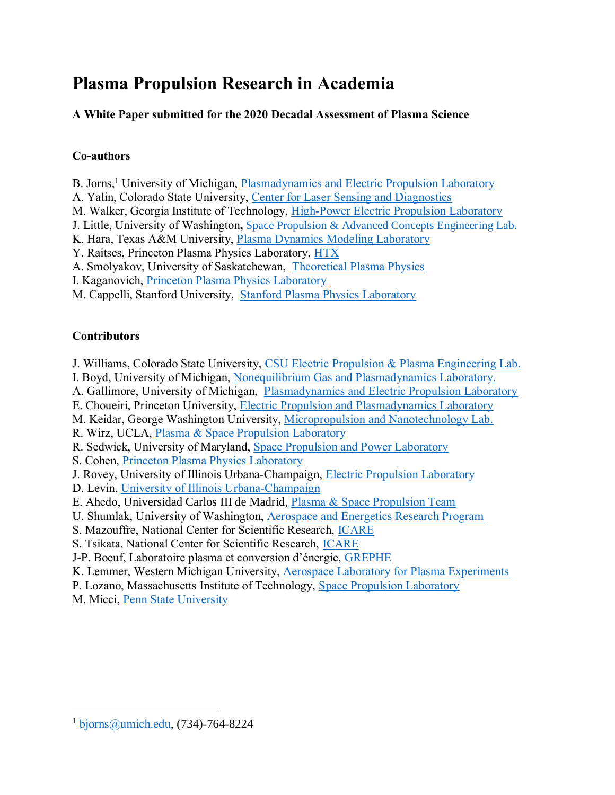# **Plasma Propulsion Research in Academia**

## **A White Paper submitted for the 2020 Decadal Assessment of Plasma Science**

## **Co-authors**

- B. Jorns,<sup>1</sup> University of Michigan, [Plasmadynamics and Electric Propulsion Laboratory](http://pepl.engin.umich.edu/)
- A. Yalin, Colorado State University, [Center for Laser Sensing and Diagnostics](http://projects-web.engr.colostate.edu/lpdl/)
- M. Walker, Georgia Institute of Technology, [High-Power Electric Propulsion Laboratory](http://hpepl.ae.gatech.edu/)
- J. Little, University of Washington**,** [Space Propulsion & Advanced Concepts Engineering Lab.](https://www.uwspacelab.com/)
- K. Hara, Texas A&M University, [Plasma Dynamics Modeling Laboratory](http://pdml.tamu.edu/research.html)
- Y. Raitses, Princeton Plasma Physics Laboratory, [HTX](https://htx.pppl.gov/home.html)
- A. Smolyakov, University of Saskatchewan, [Theoretical Plasma Physics](http://physics.usask.ca/~smolyak/as/)
- I. Kaganovich, [Princeton Plasma Physics Laboratory](https://w3.pppl.gov/~ikaganov/)
- M. Cappelli, Stanford University, Stanford [Plasma Physics Laboratory](https://web.stanford.edu/group/pdl/index.html)

## **Contributors**

- J. Williams, Colorado State University, [CSU Electric Propulsion & Plasma Engineering Lab.](http://projects-web.engr.colostate.edu/ionstand/index.php)
- I. Boyd, University of Michigan, [Nonequilibrium Gas and Plasmadynamics Laboratory.](http://ngpdlab.engin.umich.edu/)
- A. Gallimore, University of Michigan, [Plasmadynamics and Electric Propulsion Laboratory](http://pepl.engin.umich.edu/)
- E. Choueiri, Princeton University, [Electric Propulsion and Plasmadynamics Laboratory](https://alfven.princeton.edu/)
- M. Keidar, George Washington University, [Micropropulsion and Nanotechnology Lab.](https://mpnl.seas.gwu.edu/)
- R. Wirz, UCLA, [Plasma & Space Propulsion Laboratory](http://www.wirzresearchgroup.com/plasma)
- R. Sedwick, University of Maryland, [Space Propulsion and Power Laboratory](https://sppl.umd.edu/director/)
- S. Cohen, [Princeton Plasma Physics Laboratory](https://pst.pppl.gov/person/sam_cohen.htm)
- J. Rovey, University of Illinois Urbana-Champaign, [Electric Propulsion Laboratory](http://eplab.ae.illinois.edu/)
- D. Levin, [University of Illinois Urbana-Champaign](https://aerospace.illinois.edu/directory/profile/deblevin)
- E. Ahedo, Universidad Carlos III de Madrid*,* [Plasma & Space Propulsion Team](http://ep2.uc3m.es/#personnel)
- U. Shumlak, University of Washington, [Aerospace and Energetics Research Program](https://www.aa.washington.edu/facultyfinder/uri-shumlak)
- S. Mazouffre, National Center for Scientific Research, [ICARE](http://icare.cnrs.fr/le-laboratoire/)
- S. Tsikata, National Center for Scientific Research, [ICARE](http://icare.cnrs.fr/le-laboratoire/)
- J-P. Boeuf, Laboratoire plasma et conversion d'énergie, [GREPHE](http://www.laplace.univ-tlse.fr/Presentation-1435?lang=fr)
- K. Lemmer, Western Michigan University, [Aerospace Laboratory for Plasma Experiments](http://kristinalemmer.wixsite.com/alpe)
- P. Lozano, Massachusetts Institute of Technology, [Space Propulsion Laboratory](http://spl.mit.edu/welcome-mits-space-propulsion-laboratory)
- M. Micci, [Penn State University](http://www2.aero.psu.edu/micc.html)

<sup>&</sup>lt;sup>1</sup> [bjorns@umich.edu,](mailto:bjorns@umich.edu) (734)-764-8224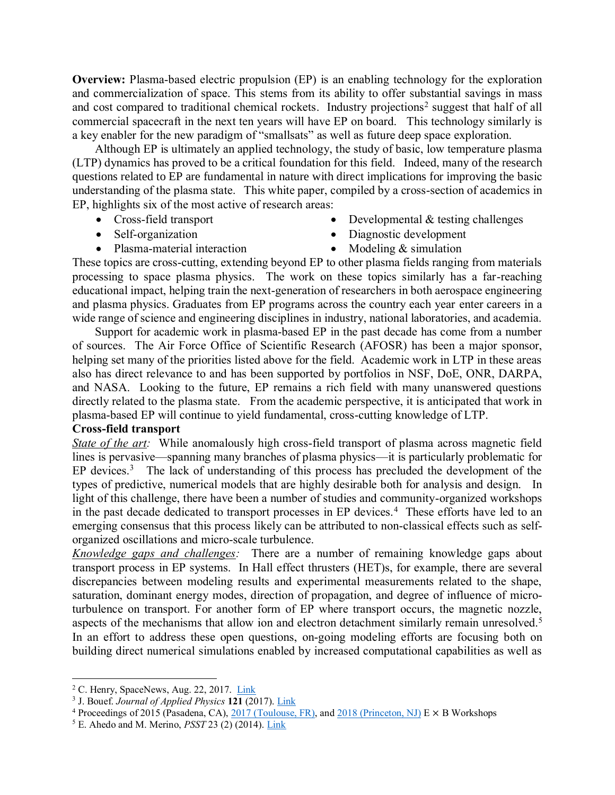**Overview:** Plasma-based electric propulsion (EP) is an enabling technology for the exploration and commercialization of space. This stems from its ability to offer substantial savings in mass and cost compared to traditional chemical rockets. Industry projections<sup>2</sup> suggest that half of all commercial spacecraft in the next ten years will have EP on board. This technology similarly is a key enabler for the new paradigm of "smallsats" as well as future deep space exploration.

Although EP is ultimately an applied technology, the study of basic, low temperature plasma (LTP) dynamics has proved to be a critical foundation for this field. Indeed, many of the research questions related to EP are fundamental in nature with direct implications for improving the basic understanding of the plasma state. This white paper, compiled by a cross-section of academics in EP, highlights six of the most active of research areas:

- 
- Cross-field transport Developmental & testing challenges
- Self-organization Diagnostic development
- Plasma-material interaction Modeling & simulation

These topics are cross-cutting, extending beyond EP to other plasma fields ranging from materials processing to space plasma physics. The work on these topics similarly has a far-reaching educational impact, helping train the next-generation of researchers in both aerospace engineering and plasma physics. Graduates from EP programs across the country each year enter careers in a wide range of science and engineering disciplines in industry, national laboratories, and academia.

Support for academic work in plasma-based EP in the past decade has come from a number of sources. The Air Force Office of Scientific Research (AFOSR) has been a major sponsor, helping set many of the priorities listed above for the field. Academic work in LTP in these areas also has direct relevance to and has been supported by portfolios in NSF, DoE, ONR, DARPA, and NASA. Looking to the future, EP remains a rich field with many unanswered questions directly related to the plasma state. From the academic perspective, it is anticipated that work in plasma-based EP will continue to yield fundamental, cross-cutting knowledge of LTP.

#### **Cross-field transport**

*State of the art:* While anomalously high cross-field transport of plasma across magnetic field lines is pervasive—spanning many branches of plasma physics—it is particularly problematic for EP devices.<sup>3</sup> The lack of understanding of this process has precluded the development of the types of predictive, numerical models that are highly desirable both for analysis and design. In light of this challenge, there have been a number of studies and community-organized workshops in the past decade dedicated to transport processes in EP devices.<sup>4</sup> These efforts have led to an emerging consensus that this process likely can be attributed to non-classical effects such as selforganized oscillations and micro-scale turbulence.

*Knowledge gaps and challenges:* There are a number of remaining knowledge gaps about transport process in EP systems. In Hall effect thrusters (HET)s, for example, there are several discrepancies between modeling results and experimental measurements related to the shape, saturation, dominant energy modes, direction of propagation, and degree of influence of microturbulence on transport. For another form of EP where transport occurs, the magnetic nozzle, aspects of the mechanisms that allow ion and electron detachment similarly remain unresolved.<sup>5</sup> In an effort to address these open questions, on-going modeling efforts are focusing both on building direct numerical simulations enabled by increased computational capabilities as well as

<sup>&</sup>lt;sup>2</sup> C. Henry, SpaceNews, Aug. 22, 2017. [Link](https://spacenews.com/all-electric-satellites-halfway-to-becoming-half-of-all-satellites/)

<sup>3</sup> J. Bouef. *Journal of Applied Physics* **121** (2017). [Link](https://aip.scitation.org/doi/10.1063/1.4972269)

<sup>&</sup>lt;sup>4</sup> Proceedings of 2015 (Pasadena, CA), [2017 \(Toulouse, FR\),](https://exb-2017.sciencesconf.org/resource/page/id/2) and [2018 \(Princeton, NJ\)](https://htx.pppl.gov/exb2018papers.html) E  $\times$  B Workshops

<sup>5</sup> E. Ahedo and M. Merino, *PSST* 23 (2) (2014). [Link](https://iopscience.iop.org/article/10.1088/0963-0252/23/3/032001/pdf)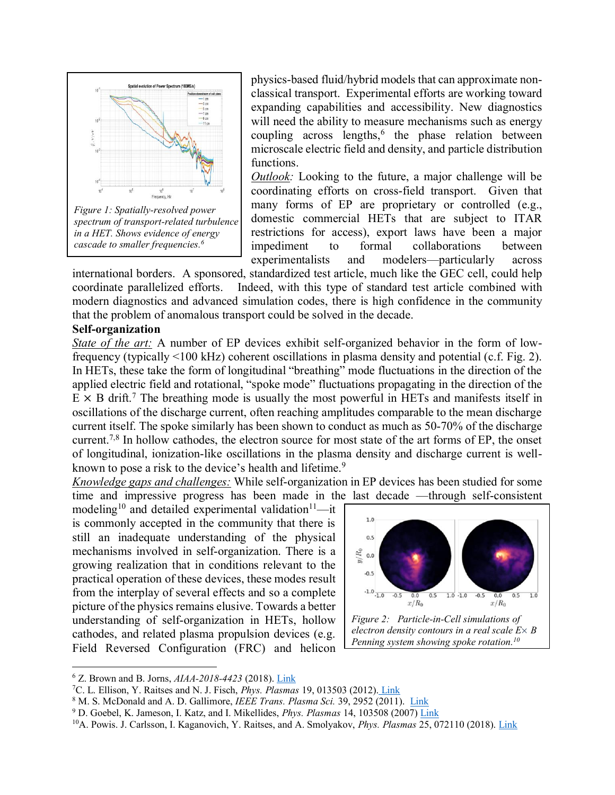

*in a HET. Shows evidence of energy cascade to smaller frequencies. 6*

physics-based fluid/hybrid models that can approximate nonclassical transport. Experimental efforts are working toward expanding capabilities and accessibility. New diagnostics will need the ability to measure mechanisms such as energy coupling across lengths,<sup>6</sup> the phase relation between microscale electric field and density, and particle distribution functions.

*Outlook:* Looking to the future, a major challenge will be coordinating efforts on cross-field transport. Given that many forms of EP are proprietary or controlled (e.g., domestic commercial HETs that are subject to ITAR restrictions for access), export laws have been a major impediment to formal collaborations between experimentalists and modelers—particularly across

international borders. A sponsored, standardized test article, much like the GEC cell, could help coordinate parallelized efforts. Indeed, with this type of standard test article combined with modern diagnostics and advanced simulation codes, there is high confidence in the community that the problem of anomalous transport could be solved in the decade.

## **Self-organization**

 $\overline{a}$ 

*State of the art:* A number of EP devices exhibit self-organized behavior in the form of lowfrequency (typically <100 kHz) coherent oscillations in plasma density and potential (c.f. Fig. 2). In HETs, these take the form of longitudinal "breathing" mode fluctuations in the direction of the applied electric field and rotational, "spoke mode" fluctuations propagating in the direction of the  $E \times B$  drift.<sup>7</sup> The breathing mode is usually the most powerful in HETs and manifests itself in oscillations of the discharge current, often reaching amplitudes comparable to the mean discharge current itself. The spoke similarly has been shown to conduct as much as 50-70% of the discharge current.<sup>7,8</sup> In hollow cathodes, the electron source for most state of the art forms of EP, the onset of longitudinal, ionization-like oscillations in the plasma density and discharge current is wellknown to pose a risk to the device's health and lifetime.<sup>9</sup>

*Knowledge gaps and challenges:* While self-organization in EP devices has been studied for some time and impressive progress has been made in the last decade —through self-consistent

modeling<sup>10</sup> and detailed experimental validation<sup>11</sup>—it is commonly accepted in the community that there is still an inadequate understanding of the physical mechanisms involved in self-organization. There is a growing realization that in conditions relevant to the practical operation of these devices, these modes result from the interplay of several effects and so a complete picture of the physics remains elusive. Towards a better understanding of self-organization in HETs, hollow cathodes, and related plasma propulsion devices (e.g. Field Reversed Configuration (FRC) and helicon



<sup>6</sup> Z. Brown and B. Jorns, *AIAA-2018-4423* (2018). [Link](https://arc.aiaa.org/doi/abs/10.2514/6.2018-4423)

<sup>7</sup>C. L. Ellison, Y. Raitses and N. J. Fisch, *Phys. Plasmas* 19, 013503 (2012). [Link](https://aip.scitation.org/doi/10.1063/1.3671920)

<sup>8</sup> M. S. McDonald and A. D. Gallimore, *IEEE Trans. Plasma Sci.* 39, 2952 (2011). [Link](https://ieeexplore.ieee.org/abstract/document/5991978)

<sup>9</sup> D. Goebel, K. Jameson, I. Katz, and I. Mikellides, *Phys. Plasmas* 14, 103508 (2007) [Link](https://aip.scitation.org/doi/10.1063/1.2784460)

<sup>10</sup>A. Powis. J. Carlsson, I. Kaganovich, Y. Raitses, and A. Smolyakov, *Phys. Plasmas* 25, 072110 (2018). [Link](https://aip.scitation.org/doi/10.1063/1.5038733)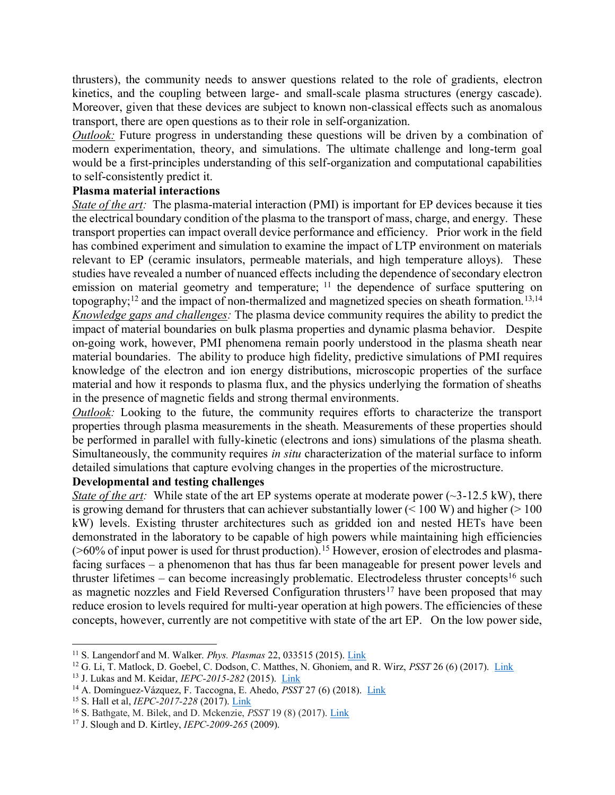thrusters), the community needs to answer questions related to the role of gradients, electron kinetics, and the coupling between large- and small-scale plasma structures (energy cascade). Moreover, given that these devices are subject to known non-classical effects such as anomalous transport, there are open questions as to their role in self-organization.

*Outlook:* Future progress in understanding these questions will be driven by a combination of modern experimentation, theory, and simulations. The ultimate challenge and long-term goal would be a first-principles understanding of this self-organization and computational capabilities to self-consistently predict it.

#### **Plasma material interactions**

*State of the art:* The plasma-material interaction (PMI) is important for EP devices because it ties the electrical boundary condition of the plasma to the transport of mass, charge, and energy. These transport properties can impact overall device performance and efficiency. Prior work in the field has combined experiment and simulation to examine the impact of LTP environment on materials relevant to EP (ceramic insulators, permeable materials, and high temperature alloys). These studies have revealed a number of nuanced effects including the dependence of secondary electron emission on material geometry and temperature; <sup>11</sup> the dependence of surface sputtering on topography;<sup>12</sup> and the impact of non-thermalized and magnetized species on sheath formation.<sup>13,14</sup> *Knowledge gaps and challenges:* The plasma device community requires the ability to predict the impact of material boundaries on bulk plasma properties and dynamic plasma behavior. Despite on-going work, however, PMI phenomena remain poorly understood in the plasma sheath near material boundaries. The ability to produce high fidelity, predictive simulations of PMI requires knowledge of the electron and ion energy distributions, microscopic properties of the surface material and how it responds to plasma flux, and the physics underlying the formation of sheaths in the presence of magnetic fields and strong thermal environments.

*Outlook:* Looking to the future, the community requires efforts to characterize the transport properties through plasma measurements in the sheath. Measurements of these properties should be performed in parallel with fully-kinetic (electrons and ions) simulations of the plasma sheath. Simultaneously, the community requires *in situ* characterization of the material surface to inform detailed simulations that capture evolving changes in the properties of the microstructure.

#### **Developmental and testing challenges**

*State of the art:* While state of the art EP systems operate at moderate power (~3-12.5 kW), there is growing demand for thrusters that can achiever substantially lower  $(< 100 W)$  and higher ( $> 100$ ) kW) levels. Existing thruster architectures such as gridded ion and nested HETs have been demonstrated in the laboratory to be capable of high powers while maintaining high efficiencies (>60% of input power is used for thrust production).<sup>15</sup> However, erosion of electrodes and plasmafacing surfaces – a phenomenon that has thus far been manageable for present power levels and thruster lifetimes – can become increasingly problematic. Electrodeless thruster concepts<sup>16</sup> such as magnetic nozzles and Field Reversed Configuration thrusters<sup>17</sup> have been proposed that may reduce erosion to levels required for multi-year operation at high powers. The efficiencies of these concepts, however, currently are not competitive with state of the art EP. On the low power side,

<sup>11</sup> S. Langendorf and M. Walker. *Phys. Plasmas* 22, 033515 (2015). [Link](https://aip.scitation.org/doi/10.1063/1.4914854)

<sup>12</sup> G. Li, T. Matlock, D. Goebel, C. Dodson, C. Matthes, N. Ghoniem, and R. Wirz, *PSST* 26 (6) (2017). [Link](https://iopscience.iop.org/article/10.1088/1361-6595/aa6a7d)

<sup>13</sup> J. Lukas and M. Keidar, *IEPC-2015-282* (2015). [Link](http://erps.spacegrant.org/uploads/images/2015Presentations/IEPC-2015-282_ISTS-2015-b-282.pdf)

<sup>&</sup>lt;sup>14</sup> A. Domínguez-Vázquez, F. Taccogna, E. Ahedo, *PSST* 27 (6) (2018). [Link](https://iopscience.iop.org/article/10.1088/1361-6595/aac968/meta)

<sup>15</sup> S. Hall et al, *IEPC-2017-228* (2017). [Link](https://iepc2017.org/technical-program/162/hall-thrusters-2)

<sup>16</sup> S. Bathgate, M. Bilek, and D. Mckenzie, *PSST* 19 (8) (2017). [Link](https://iopscience.iop.org/article/10.1088/2058-6272/aa71fe/meta)

<sup>17</sup> J. Slough and D. Kirtley, *IEPC-2009-265* (2009).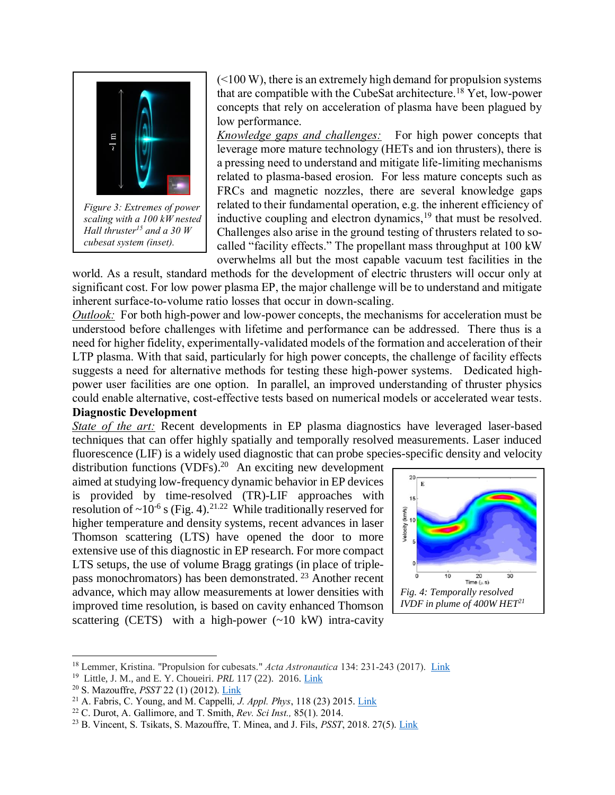

*Figure 3: Extremes of power scaling with a 100 kW nested Hall thruster<sup>15</sup> and a 30 W cubesat system (inset).*

 $(<100 W$ ), there is an extremely high demand for propulsion systems that are compatible with the CubeSat architecture.<sup>18</sup> Yet, low-power concepts that rely on acceleration of plasma have been plagued by low performance.

*Knowledge gaps and challenges:* For high power concepts that leverage more mature technology (HETs and ion thrusters), there is a pressing need to understand and mitigate life-limiting mechanisms related to plasma-based erosion. For less mature concepts such as FRCs and magnetic nozzles, there are several knowledge gaps related to their fundamental operation, e.g. the inherent efficiency of inductive coupling and electron dynamics, <sup>19</sup> that must be resolved. Challenges also arise in the ground testing of thrusters related to socalled "facility effects." The propellant mass throughput at 100 kW overwhelms all but the most capable vacuum test facilities in the

world. As a result, standard methods for the development of electric thrusters will occur only at significant cost. For low power plasma EP, the major challenge will be to understand and mitigate inherent surface-to-volume ratio losses that occur in down-scaling.

*Outlook:* For both high-power and low-power concepts, the mechanisms for acceleration must be understood before challenges with lifetime and performance can be addressed. There thus is a need for higher fidelity, experimentally-validated models of the formation and acceleration of their LTP plasma. With that said, particularly for high power concepts, the challenge of facility effects suggests a need for alternative methods for testing these high-power systems. Dedicated highpower user facilities are one option. In parallel, an improved understanding of thruster physics could enable alternative, cost-effective tests based on numerical models or accelerated wear tests.

#### **Diagnostic Development**

*State of the art:* Recent developments in EP plasma diagnostics have leveraged laser-based techniques that can offer highly spatially and temporally resolved measurements. Laser induced fluorescence (LIF) is a widely used diagnostic that can probe species-specific density and velocity

distribution functions (VDFs). <sup>20</sup> An exciting new development aimed at studying low-frequency dynamic behavior in EP devices is provided by time-resolved (TR)-LIF approaches with resolution of  $\sim 10^{-6}$  s (Fig. 4).<sup>21.22</sup> While traditionally reserved for higher temperature and density systems, recent advances in laser Thomson scattering (LTS) have opened the door to more extensive use of this diagnostic in EP research. For more compact LTS setups, the use of volume Bragg gratings (in place of triplepass monochromators) has been demonstrated.<sup>23</sup> Another recent advance, which may allow measurements at lower densities with improved time resolution, is based on cavity enhanced Thomson scattering (CETS) with a high-power  $(\sim 10 \text{ kW})$  intra-cavity



<sup>18</sup> Lemmer, Kristina. "Propulsion for cubesats." *Acta Astronautica* 134: 231-243 (2017). [Link](https://www.sciencedirect.com/science/article/pii/S0094576516308840)

<sup>19</sup> Little, J. M., and E. Y. Choueiri. *PRL* 117 (22). 2016[. Link](https://journals.aps.org/prl/abstract/10.1103/PhysRevLett.117.225003)

<sup>20</sup> S. Mazouffre, *PSST* 22 (1) (2012). [Link](https://iopscience.iop.org/article/10.1088/0963-0252/22/1/013001/meta)

<sup>21</sup> A. Fabris, C. Young, and M. Cappelli*, J. Appl. Phys*, 118 (23) 2015. [Link](https://aip.scitation.org/doi/10.1063/1.4937272)

<sup>22</sup> C. Durot, A. Gallimore, and T. Smith, *Rev. Sci Inst.,* 85(1). 2014.

<sup>23</sup> B. Vincent, S. Tsikats, S. Mazouffre, T. Minea, and J. Fils, *PSST*, 2018. 27(5). [Link](https://iopscience.iop.org/article/10.1088/1361-6595/aabd13/meta)